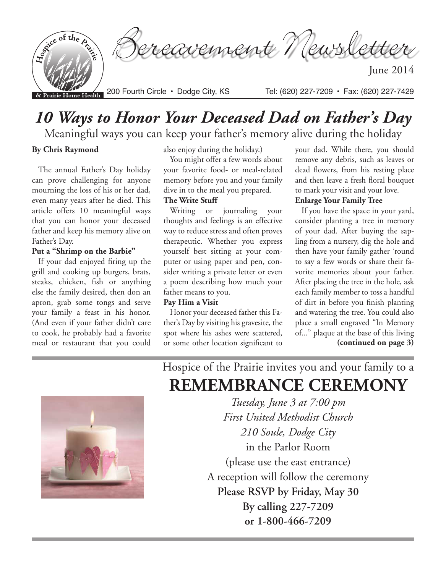

# *10 Ways to Honor Your Deceased Dad on Father's Day*

## Meaningful ways you can keep your father's memory alive during the holiday

## **By Chris Raymond**

The annual Father's Day holiday can prove challenging for anyone mourning the loss of his or her dad, even many years after he died. This article offers 10 meaningful ways that you can honor your deceased father and keep his memory alive on Father's Day.

## **Put a "Shrimp on the Barbie"**

If your dad enjoyed firing up the grill and cooking up burgers, brats, steaks, chicken, fish or anything else the family desired, then don an apron, grab some tongs and serve your family a feast in his honor. (And even if your father didn't care to cook, he probably had a favorite meal or restaurant that you could also enjoy during the holiday.)

You might offer a few words about your favorite food- or meal-related memory before you and your family dive in to the meal you prepared.

## **The Write Stuff**

Writing or journaling your thoughts and feelings is an effective way to reduce stress and often proves therapeutic. Whether you express yourself best sitting at your computer or using paper and pen, consider writing a private letter or even a poem describing how much your father means to you.

#### **Pay Him a Visit**

Honor your deceased father this Father's Day by visiting his gravesite, the spot where his ashes were scattered, or some other location significant to your dad. While there, you should remove any debris, such as leaves or dead flowers, from his resting place and then leave a fresh floral bouquet to mark your visit and your love.

## **Enlarge Your Family Tree**

If you have the space in your yard, consider planting a tree in memory of your dad. After buying the sapling from a nursery, dig the hole and then have your family gather 'round to say a few words or share their favorite memories about your father. After placing the tree in the hole, ask each family member to toss a handful of dirt in before you finish planting and watering the tree. You could also place a small engraved "In Memory of..." plaque at the base of this living **(continued on page 3)**

Hospice of the Prairie invites you and your family to a **REMEMBRANCE CEREMONY**

> *Tuesday, June 3 at 7:00 pm First United Methodist Church 210 Soule, Dodge City* in the Parlor Room (please use the east entrance) A reception will follow the ceremony **Please RSVP by Friday, May 30 By calling 227-7209 or 1-800-466-7209**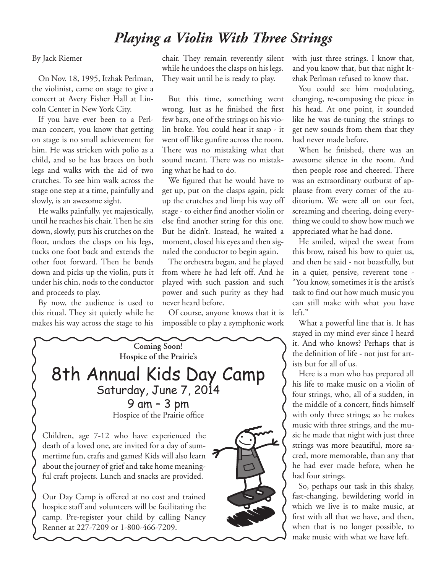# *Playing a Violin With Three Strings*

## By Jack Riemer

On Nov. 18, 1995, Itzhak Perlman, the violinist, came on stage to give a concert at Avery Fisher Hall at Lincoln Center in New York City.

If you have ever been to a Perlman concert, you know that getting on stage is no small achievement for him. He was stricken with polio as a child, and so he has braces on both legs and walks with the aid of two crutches. To see him walk across the stage one step at a time, painfully and slowly, is an awesome sight.

He walks painfully, yet majestically, until he reaches his chair. Then he sits down, slowly, puts his crutches on the floor, undoes the clasps on his legs, tucks one foot back and extends the other foot forward. Then he bends down and picks up the violin, puts it under his chin, nods to the conductor and proceeds to play.

By now, the audience is used to this ritual. They sit quietly while he makes his way across the stage to his chair. They remain reverently silent while he undoes the clasps on his legs. They wait until he is ready to play.

But this time, something went wrong. Just as he finished the first few bars, one of the strings on his violin broke. You could hear it snap - it went off like gunfire across the room. There was no mistaking what that sound meant. There was no mistaking what he had to do.

We figured that he would have to get up, put on the clasps again, pick up the crutches and limp his way off stage - to either find another violin or else find another string for this one. But he didn't. Instead, he waited a moment, closed his eyes and then signaled the conductor to begin again.

The orchestra began, and he played from where he had left off. And he played with such passion and such power and such purity as they had never heard before.

Of course, anyone knows that it is impossible to play a symphonic work



with just three strings. I know that, and you know that, but that night Itzhak Perlman refused to know that.

You could see him modulating, changing, re-composing the piece in his head. At one point, it sounded like he was de-tuning the strings to get new sounds from them that they had never made before.

When he finished, there was an awesome silence in the room. And then people rose and cheered. There was an extraordinary outburst of applause from every corner of the auditorium. We were all on our feet, screaming and cheering, doing everything we could to show how much we appreciated what he had done.

He smiled, wiped the sweat from this brow, raised his bow to quiet us, and then he said - not boastfully, but in a quiet, pensive, reverent tone - "You know, sometimes it is the artist's task to find out how much music you can still make with what you have left."

What a powerful line that is. It has stayed in my mind ever since I heard it. And who knows? Perhaps that is the definition of life - not just for artists but for all of us.

Here is a man who has prepared all his life to make music on a violin of four strings, who, all of a sudden, in the middle of a concert, finds himself with only three strings; so he makes music with three strings, and the music he made that night with just three strings was more beautiful, more sacred, more memorable, than any that he had ever made before, when he had four strings.

So, perhaps our task in this shaky, fast-changing, bewildering world in which we live is to make music, at first with all that we have, and then, when that is no longer possible, to make music with what we have left.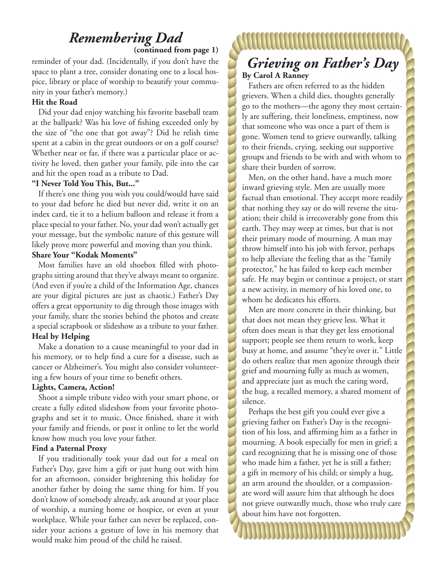## *Remembering Dad* **(continued from page 1)**

reminder of your dad. (Incidentally, if you don't have the space to plant a tree, consider donating one to a local hospice, library or place of worship to beautify your community in your father's memory.)

## **Hit the Road**

Did your dad enjoy watching his favorite baseball team at the ballpark? Was his love of fishing exceeded only by the size of "the one that got away"? Did he relish time spent at a cabin in the great outdoors or on a golf course? Whether near or far, if there was a particular place or activity he loved, then gather your family, pile into the car and hit the open road as a tribute to Dad.

#### **"I Never Told You This, But..."**

If there's one thing you wish you could/would have said to your dad before he died but never did, write it on an index card, tie it to a helium balloon and release it from a place special to your father. No, your dad won't actually get your message, but the symbolic nature of this gesture will likely prove more powerful and moving than you think.

## **Share Your "Kodak Moments"**

Most families have an old shoebox filled with photographs sitting around that they've always meant to organize. (And even if you're a child of the Information Age, chances are your digital pictures are just as chaotic.) Father's Day offers a great opportunity to dig through those images with your family, share the stories behind the photos and create a special scrapbook or slideshow as a tribute to your father. **Heal by Helping**

Make a donation to a cause meaningful to your dad in his memory, or to help find a cure for a disease, such as cancer or Alzheimer's. You might also consider volunteering a few hours of your time to benefit others.

## **Lights, Camera, Action!**

Shoot a simple tribute video with your smart phone, or create a fully edited slideshow from your favorite photographs and set it to music. Once finished, share it with your family and friends, or post it online to let the world know how much you love your father.

## **Find a Paternal Proxy**

If you traditionally took your dad out for a meal on Father's Day, gave him a gift or just hung out with him for an afternoon, consider brightening this holiday for another father by doing the same thing for him. If you don't know of somebody already, ask around at your place of worship, a nursing home or hospice, or even at your workplace. While your father can never be replaced, consider your actions a gesture of love in his memory that would make him proud of the child he raised.

## ,,,,,,,,,,,,,,,,,,,,,, *Grieving on Father's Day* **By Carol A Ranney**

Fathers are often referred to as the hidden grievers. When a child dies, thoughts generally go to the mothers—the agony they most certainly are suffering, their loneliness, emptiness, now that someone who was once a part of them is gone. Women tend to grieve outwardly, talking to their friends, crying, seeking out supportive groups and friends to be with and with whom to share their burden of sorrow.

Men, on the other hand, have a much more inward grieving style. Men are usually more factual than emotional. They accept more readily that nothing they say or do will reverse the situation; their child is irrecoverably gone from this earth. They may weep at times, but that is not their primary mode of mourning. A man may throw himself into his job with fervor, perhaps to help alleviate the feeling that as the "family protector," he has failed to keep each member safe. He may begin or continue a project, or start a new activity, in memory of his loved one, to whom he dedicates his efforts.

Men are more concrete in their thinking, but that does not mean they grieve less. What it often does mean is that they get less emotional support; people see them return to work, keep busy at home, and assume "they're over it." Little do others realize that men agonize through their grief and mourning fully as much as women, and appreciate just as much the caring word, the hug, a recalled memory, a shared moment of silence.

Perhaps the best gift you could ever give a grieving father on Father's Day is the recognition of his loss, and affirming him as a father in mourning. A book especially for men in grief; a card recognizing that he is missing one of those who made him a father, yet he is still a father; a gift in memory of his child; or simply a hug, an arm around the shoulder, or a compassionate word will assure him that although he does not grieve outwardly much, those who truly care about him have not forgotten.